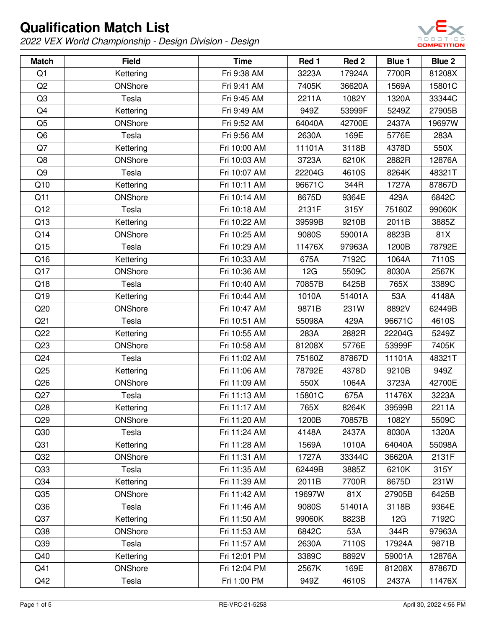

| <b>Match</b>    | <b>Field</b>   | <b>Time</b>  | Red 1  | Red <sub>2</sub> | Blue 1 | Blue 2 |
|-----------------|----------------|--------------|--------|------------------|--------|--------|
| Q1              | Kettering      | Fri 9:38 AM  | 3223A  | 17924A           | 7700R  | 81208X |
| Q <sub>2</sub>  | ONShore        | Fri 9:41 AM  | 7405K  | 36620A           | 1569A  | 15801C |
| Q <sub>3</sub>  | Tesla          | Fri 9:45 AM  | 2211A  | 1082Y            | 1320A  | 33344C |
| Q4              | Kettering      | Fri 9:49 AM  | 949Z   | 53999F           | 5249Z  | 27905B |
| Q <sub>5</sub>  | ONShore        | Fri 9:52 AM  | 64040A | 42700E           | 2437A  | 19697W |
| Q <sub>6</sub>  | Tesla          | Fri 9:56 AM  | 2630A  | 169E             | 5776E  | 283A   |
| Q7              | Kettering      | Fri 10:00 AM | 11101A | 3118B            | 4378D  | 550X   |
| Q8              | ONShore        | Fri 10:03 AM | 3723A  | 6210K            | 2882R  | 12876A |
| Q9              | Tesla          | Fri 10:07 AM | 22204G | 4610S            | 8264K  | 48321T |
| Q10             | Kettering      | Fri 10:11 AM | 96671C | 344R             | 1727A  | 87867D |
| Q11             | ONShore        | Fri 10:14 AM | 8675D  | 9364E            | 429A   | 6842C  |
| Q12             | Tesla          | Fri 10:18 AM | 2131F  | 315Y             | 75160Z | 99060K |
| Q13             | Kettering      | Fri 10:22 AM | 39599B | 9210B            | 2011B  | 3885Z  |
| Q14             | ONShore        | Fri 10:25 AM | 9080S  | 59001A           | 8823B  | 81X    |
| Q15             | Tesla          | Fri 10:29 AM | 11476X | 97963A           | 1200B  | 78792E |
| Q16             | Kettering      | Fri 10:33 AM | 675A   | 7192C            | 1064A  | 7110S  |
| Q17             | ONShore        | Fri 10:36 AM | 12G    | 5509C            | 8030A  | 2567K  |
| Q18             | Tesla          | Fri 10:40 AM | 70857B | 6425B            | 765X   | 3389C  |
| Q19             | Kettering      | Fri 10:44 AM | 1010A  | 51401A           | 53A    | 4148A  |
| Q20             | ONShore        | Fri 10:47 AM | 9871B  | 231W             | 8892V  | 62449B |
| Q <sub>21</sub> | Tesla          | Fri 10:51 AM | 55098A | 429A             | 96671C | 4610S  |
| Q22             | Kettering      | Fri 10:55 AM | 283A   | 2882R            | 22204G | 5249Z  |
| Q23             | ONShore        | Fri 10:58 AM | 81208X | 5776E            | 53999F | 7405K  |
| Q24             | Tesla          | Fri 11:02 AM | 75160Z | 87867D           | 11101A | 48321T |
| Q25             | Kettering      | Fri 11:06 AM | 78792E | 4378D            | 9210B  | 949Z   |
| Q26             | ONShore        | Fri 11:09 AM | 550X   | 1064A            | 3723A  | 42700E |
| Q27             | Tesla          | Fri 11:13 AM | 15801C | 675A             | 11476X | 3223A  |
| Q28             | Kettering      | Fri 11:17 AM | 765X   | 8264K            | 39599B | 2211A  |
| Q29             | ONShore        | Fri 11:20 AM | 1200B  | 70857B           | 1082Y  | 5509C  |
| Q30             | Tesla          | Fri 11:24 AM | 4148A  | 2437A            | 8030A  | 1320A  |
| Q <sub>31</sub> | Kettering      | Fri 11:28 AM | 1569A  | 1010A            | 64040A | 55098A |
| Q32             | ONShore        | Fri 11:31 AM | 1727A  | 33344C           | 36620A | 2131F  |
| Q <sub>33</sub> | Tesla          | Fri 11:35 AM | 62449B | 3885Z            | 6210K  | 315Y   |
| Q34             | Kettering      | Fri 11:39 AM | 2011B  | 7700R            | 8675D  | 231W   |
| Q35             | ONShore        | Fri 11:42 AM | 19697W | 81X              | 27905B | 6425B  |
| Q36             | Tesla          | Fri 11:46 AM | 9080S  | 51401A           | 3118B  | 9364E  |
| Q37             | Kettering      | Fri 11:50 AM | 99060K | 8823B            | 12G    | 7192C  |
| Q <sub>38</sub> | ONShore        | Fri 11:53 AM | 6842C  | 53A              | 344R   | 97963A |
| Q39             | Tesla          | Fri 11:57 AM | 2630A  | 7110S            | 17924A | 9871B  |
| Q40             | Kettering      | Fri 12:01 PM | 3389C  | 8892V            | 59001A | 12876A |
| Q41             | <b>ONShore</b> | Fri 12:04 PM | 2567K  | 169E             | 81208X | 87867D |
| Q42             | Tesla          | Fri 1:00 PM  | 949Z   | 4610S            | 2437A  | 11476X |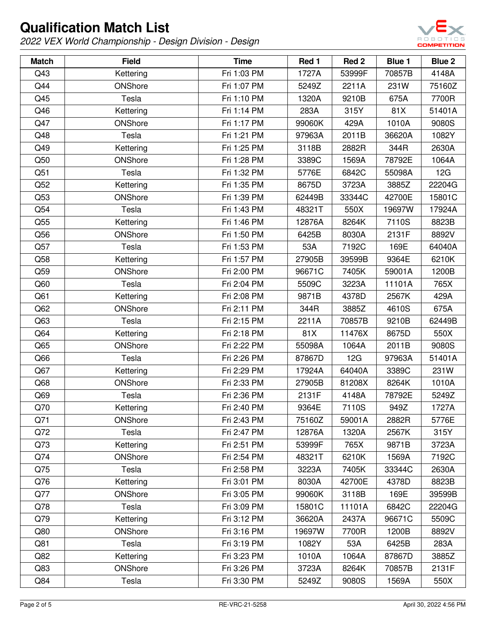

| <b>Match</b> | <b>Field</b> | <b>Time</b> | Red 1  | Red <sub>2</sub> | <b>Blue 1</b> | <b>Blue 2</b> |
|--------------|--------------|-------------|--------|------------------|---------------|---------------|
| Q43          | Kettering    | Fri 1:03 PM | 1727A  | 53999F           | 70857B        | 4148A         |
| Q44          | ONShore      | Fri 1:07 PM | 5249Z  | 2211A            | 231W          | 75160Z        |
| Q45          | Tesla        | Fri 1:10 PM | 1320A  | 9210B            | 675A          | 7700R         |
| Q46          | Kettering    | Fri 1:14 PM | 283A   | 315Y             | 81X           | 51401A        |
| Q47          | ONShore      | Fri 1:17 PM | 99060K | 429A             | 1010A         | 9080S         |
| Q48          | Tesla        | Fri 1:21 PM | 97963A | 2011B            | 36620A        | 1082Y         |
| Q49          | Kettering    | Fri 1:25 PM | 3118B  | 2882R            | 344R          | 2630A         |
| Q50          | ONShore      | Fri 1:28 PM | 3389C  | 1569A            | 78792E        | 1064A         |
| Q51          | Tesla        | Fri 1:32 PM | 5776E  | 6842C            | 55098A        | 12G           |
| Q52          | Kettering    | Fri 1:35 PM | 8675D  | 3723A            | 3885Z         | 22204G        |
| Q53          | ONShore      | Fri 1:39 PM | 62449B | 33344C           | 42700E        | 15801C        |
| Q54          | Tesla        | Fri 1:43 PM | 48321T | 550X             | 19697W        | 17924A        |
| Q55          | Kettering    | Fri 1:46 PM | 12876A | 8264K            | 7110S         | 8823B         |
| Q56          | ONShore      | Fri 1:50 PM | 6425B  | 8030A            | 2131F         | 8892V         |
| Q57          | Tesla        | Fri 1:53 PM | 53A    | 7192C            | 169E          | 64040A        |
| Q58          | Kettering    | Fri 1:57 PM | 27905B | 39599B           | 9364E         | 6210K         |
| Q59          | ONShore      | Fri 2:00 PM | 96671C | 7405K            | 59001A        | 1200B         |
| Q60          | Tesla        | Fri 2:04 PM | 5509C  | 3223A            | 11101A        | 765X          |
| Q61          | Kettering    | Fri 2:08 PM | 9871B  | 4378D            | 2567K         | 429A          |
| Q62          | ONShore      | Fri 2:11 PM | 344R   | 3885Z            | 4610S         | 675A          |
| Q63          | Tesla        | Fri 2:15 PM | 2211A  | 70857B           | 9210B         | 62449B        |
| Q64          | Kettering    | Fri 2:18 PM | 81X    | 11476X           | 8675D         | 550X          |
| Q65          | ONShore      | Fri 2:22 PM | 55098A | 1064A            | 2011B         | 9080S         |
| Q66          | Tesla        | Fri 2:26 PM | 87867D | 12G              | 97963A        | 51401A        |
| Q67          | Kettering    | Fri 2:29 PM | 17924A | 64040A           | 3389C         | 231W          |
| Q68          | ONShore      | Fri 2:33 PM | 27905B | 81208X           | 8264K         | 1010A         |
| Q69          | Tesla        | Fri 2:36 PM | 2131F  | 4148A            | 78792E        | 5249Z         |
| Q70          | Kettering    | Fri 2:40 PM | 9364E  | 7110S            | 949Z          | 1727A         |
| Q71          | ONShore      | Fri 2:43 PM | 75160Z | 59001A           | 2882R         | 5776E         |
| Q72          | Tesla        | Fri 2:47 PM | 12876A | 1320A            | 2567K         | 315Y          |
| Q73          | Kettering    | Fri 2:51 PM | 53999F | 765X             | 9871B         | 3723A         |
| Q74          | ONShore      | Fri 2:54 PM | 48321T | 6210K            | 1569A         | 7192C         |
| Q75          | Tesla        | Fri 2:58 PM | 3223A  | 7405K            | 33344C        | 2630A         |
| Q76          | Kettering    | Fri 3:01 PM | 8030A  | 42700E           | 4378D         | 8823B         |
| Q77          | ONShore      | Fri 3:05 PM | 99060K | 3118B            | 169E          | 39599B        |
| Q78          | Tesla        | Fri 3:09 PM | 15801C | 11101A           | 6842C         | 22204G        |
| Q79          | Kettering    | Fri 3:12 PM | 36620A | 2437A            | 96671C        | 5509C         |
| Q80          | ONShore      | Fri 3:16 PM | 19697W | 7700R            | 1200B         | 8892V         |
| Q81          | Tesla        | Fri 3:19 PM | 1082Y  | 53A              | 6425B         | 283A          |
| Q82          | Kettering    | Fri 3:23 PM | 1010A  | 1064A            | 87867D        | 3885Z         |
| Q83          | ONShore      | Fri 3:26 PM | 3723A  | 8264K            | 70857B        | 2131F         |
| Q84          | Tesla        | Fri 3:30 PM | 5249Z  | 9080S            | 1569A         | 550X          |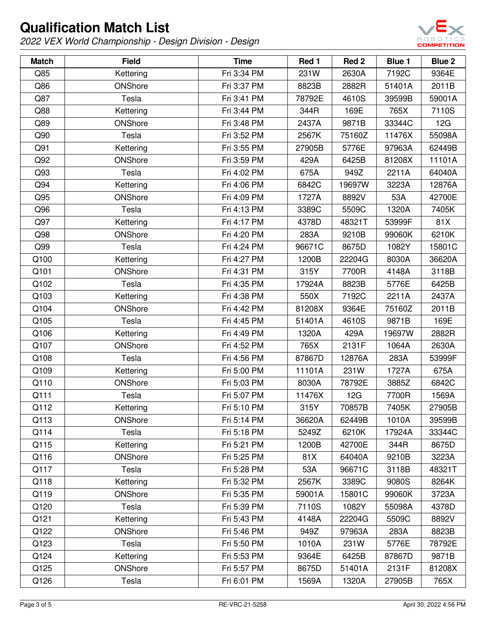

| <b>Match</b> | <b>Field</b>   | <b>Time</b> | Red 1  | Red <sub>2</sub> | <b>Blue 1</b> | <b>Blue 2</b> |
|--------------|----------------|-------------|--------|------------------|---------------|---------------|
| Q85          | Kettering      | Fri 3:34 PM | 231W   | 2630A            | 7192C         | 9364E         |
| Q86          | ONShore        | Fri 3:37 PM | 8823B  | 2882R            | 51401A        | 2011B         |
| Q87          | Tesla          | Fri 3:41 PM | 78792E | 4610S            | 39599B        | 59001A        |
| Q88          | Kettering      | Fri 3:44 PM | 344R   | 169E             | 765X          | 7110S         |
| Q89          | ONShore        | Fri 3:48 PM | 2437A  | 9871B            | 33344C        | 12G           |
| Q90          | Tesla          | Fri 3:52 PM | 2567K  | 75160Z           | 11476X        | 55098A        |
| Q91          | Kettering      | Fri 3:55 PM | 27905B | 5776E            | 97963A        | 62449B        |
| Q92          | ONShore        | Fri 3:59 PM | 429A   | 6425B            | 81208X        | 11101A        |
| Q93          | Tesla          | Fri 4:02 PM | 675A   | 949Z             | 2211A         | 64040A        |
| Q94          | Kettering      | Fri 4:06 PM | 6842C  | 19697W           | 3223A         | 12876A        |
| Q95          | ONShore        | Fri 4:09 PM | 1727A  | 8892V            | 53A           | 42700E        |
| Q96          | Tesla          | Fri 4:13 PM | 3389C  | 5509C            | 1320A         | 7405K         |
| Q97          | Kettering      | Fri 4:17 PM | 4378D  | 48321T           | 53999F        | 81X           |
| Q98          | ONShore        | Fri 4:20 PM | 283A   | 9210B            | 99060K        | 6210K         |
| Q99          | Tesla          | Fri 4:24 PM | 96671C | 8675D            | 1082Y         | 15801C        |
| Q100         | Kettering      | Fri 4:27 PM | 1200B  | 22204G           | 8030A         | 36620A        |
| Q101         | ONShore        | Fri 4:31 PM | 315Y   | 7700R            | 4148A         | 3118B         |
| Q102         | Tesla          | Fri 4:35 PM | 17924A | 8823B            | 5776E         | 6425B         |
| Q103         | Kettering      | Fri 4:38 PM | 550X   | 7192C            | 2211A         | 2437A         |
| Q104         | ONShore        | Fri 4:42 PM | 81208X | 9364E            | 75160Z        | 2011B         |
| Q105         | Tesla          | Fri 4:45 PM | 51401A | 4610S            | 9871B         | 169E          |
| Q106         | Kettering      | Fri 4:49 PM | 1320A  | 429A             | 19697W        | 2882R         |
| Q107         | ONShore        | Fri 4:52 PM | 765X   | 2131F            | 1064A         | 2630A         |
| Q108         | Tesla          | Fri 4:56 PM | 87867D | 12876A           | 283A          | 53999F        |
| Q109         | Kettering      | Fri 5:00 PM | 11101A | 231W             | 1727A         | 675A          |
| Q110         | ONShore        | Fri 5:03 PM | 8030A  | 78792E           | 3885Z         | 6842C         |
| Q111         | Tesla          | Fri 5:07 PM | 11476X | 12G              | 7700R         | 1569A         |
| Q112         | Kettering      | Fri 5:10 PM | 315Y   | 70857B           | 7405K         | 27905B        |
| Q113         | ONShore        | Fri 5:14 PM | 36620A | 62449B           | 1010A         | 39599B        |
| Q114         | Tesla          | Fri 5:18 PM | 5249Z  | 6210K            | 17924A        | 33344C        |
| Q115         | Kettering      | Fri 5:21 PM | 1200B  | 42700E           | 344R          | 8675D         |
| Q116         | ONShore        | Fri 5:25 PM | 81X    | 64040A           | 9210B         | 3223A         |
| Q117         | Tesla          | Fri 5:28 PM | 53A    | 96671C           | 3118B         | 48321T        |
| Q118         | Kettering      | Fri 5:32 PM | 2567K  | 3389C            | 9080S         | 8264K         |
| Q119         | ONShore        | Fri 5:35 PM | 59001A | 15801C           | 99060K        | 3723A         |
| Q120         | Tesla          | Fri 5:39 PM | 7110S  | 1082Y            | 55098A        | 4378D         |
| Q121         | Kettering      | Fri 5:43 PM | 4148A  | 22204G           | 5509C         | 8892V         |
| Q122         | <b>ONShore</b> | Fri 5:46 PM | 949Z   | 97963A           | 283A          | 8823B         |
| Q123         | Tesla          | Fri 5:50 PM | 1010A  | 231W             | 5776E         | 78792E        |
| Q124         | Kettering      | Fri 5:53 PM | 9364E  | 6425B            | 87867D        | 9871B         |
| Q125         | ONShore        | Fri 5:57 PM | 8675D  | 51401A           | 2131F         | 81208X        |
| Q126         | Tesla          | Fri 6:01 PM | 1569A  | 1320A            | 27905B        | 765X          |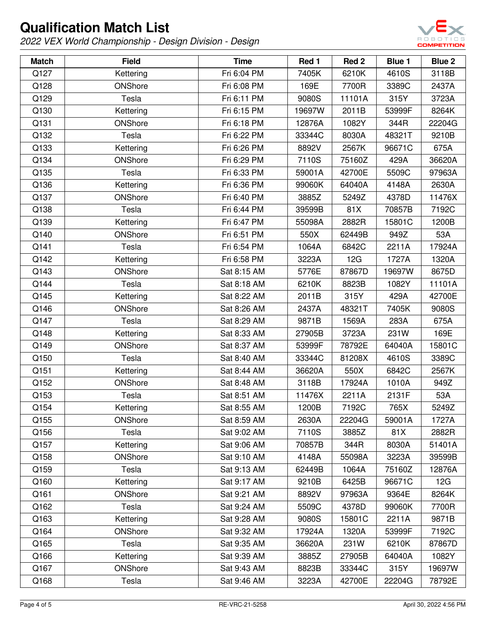

| <b>Match</b> | <b>Field</b> | <b>Time</b> | Red 1  | Red 2  | <b>Blue 1</b> | Blue 2 |
|--------------|--------------|-------------|--------|--------|---------------|--------|
| Q127         | Kettering    | Fri 6:04 PM | 7405K  | 6210K  | 4610S         | 3118B  |
| Q128         | ONShore      | Fri 6:08 PM | 169E   | 7700R  | 3389C         | 2437A  |
| Q129         | Tesla        | Fri 6:11 PM | 9080S  | 11101A | 315Y          | 3723A  |
| Q130         | Kettering    | Fri 6:15 PM | 19697W | 2011B  | 53999F        | 8264K  |
| Q131         | ONShore      | Fri 6:18 PM | 12876A | 1082Y  | 344R          | 22204G |
| Q132         | Tesla        | Fri 6:22 PM | 33344C | 8030A  | 48321T        | 9210B  |
| Q133         | Kettering    | Fri 6:26 PM | 8892V  | 2567K  | 96671C        | 675A   |
| Q134         | ONShore      | Fri 6:29 PM | 7110S  | 75160Z | 429A          | 36620A |
| Q135         | Tesla        | Fri 6:33 PM | 59001A | 42700E | 5509C         | 97963A |
| Q136         | Kettering    | Fri 6:36 PM | 99060K | 64040A | 4148A         | 2630A  |
| Q137         | ONShore      | Fri 6:40 PM | 3885Z  | 5249Z  | 4378D         | 11476X |
| Q138         | Tesla        | Fri 6:44 PM | 39599B | 81X    | 70857B        | 7192C  |
| Q139         | Kettering    | Fri 6:47 PM | 55098A | 2882R  | 15801C        | 1200B  |
| Q140         | ONShore      | Fri 6:51 PM | 550X   | 62449B | 949Z          | 53A    |
| Q141         | Tesla        | Fri 6:54 PM | 1064A  | 6842C  | 2211A         | 17924A |
| Q142         | Kettering    | Fri 6:58 PM | 3223A  | 12G    | 1727A         | 1320A  |
| Q143         | ONShore      | Sat 8:15 AM | 5776E  | 87867D | 19697W        | 8675D  |
| Q144         | Tesla        | Sat 8:18 AM | 6210K  | 8823B  | 1082Y         | 11101A |
| Q145         | Kettering    | Sat 8:22 AM | 2011B  | 315Y   | 429A          | 42700E |
| Q146         | ONShore      | Sat 8:26 AM | 2437A  | 48321T | 7405K         | 9080S  |
| Q147         | Tesla        | Sat 8:29 AM | 9871B  | 1569A  | 283A          | 675A   |
| Q148         | Kettering    | Sat 8:33 AM | 27905B | 3723A  | 231W          | 169E   |
| Q149         | ONShore      | Sat 8:37 AM | 53999F | 78792E | 64040A        | 15801C |
| Q150         | Tesla        | Sat 8:40 AM | 33344C | 81208X | 4610S         | 3389C  |
| Q151         | Kettering    | Sat 8:44 AM | 36620A | 550X   | 6842C         | 2567K  |
| Q152         | ONShore      | Sat 8:48 AM | 3118B  | 17924A | 1010A         | 949Z   |
| Q153         | Tesla        | Sat 8:51 AM | 11476X | 2211A  | 2131F         | 53A    |
| Q154         | Kettering    | Sat 8:55 AM | 1200B  | 7192C  | 765X          | 5249Z  |
| Q155         | ONShore      | Sat 8:59 AM | 2630A  | 22204G | 59001A        | 1727A  |
| Q156         | Tesla        | Sat 9:02 AM | 7110S  | 3885Z  | 81X           | 2882R  |
| Q157         | Kettering    | Sat 9:06 AM | 70857B | 344R   | 8030A         | 51401A |
| Q158         | ONShore      | Sat 9:10 AM | 4148A  | 55098A | 3223A         | 39599B |
| Q159         | Tesla        | Sat 9:13 AM | 62449B | 1064A  | 75160Z        | 12876A |
| Q160         | Kettering    | Sat 9:17 AM | 9210B  | 6425B  | 96671C        | 12G    |
| Q161         | ONShore      | Sat 9:21 AM | 8892V  | 97963A | 9364E         | 8264K  |
| Q162         | Tesla        | Sat 9:24 AM | 5509C  | 4378D  | 99060K        | 7700R  |
| Q163         | Kettering    | Sat 9:28 AM | 9080S  | 15801C | 2211A         | 9871B  |
| Q164         | ONShore      | Sat 9:32 AM | 17924A | 1320A  | 53999F        | 7192C  |
| Q165         | Tesla        | Sat 9:35 AM | 36620A | 231W   | 6210K         | 87867D |
| Q166         | Kettering    | Sat 9:39 AM | 3885Z  | 27905B | 64040A        | 1082Y  |
| Q167         | ONShore      | Sat 9:43 AM | 8823B  | 33344C | 315Y          | 19697W |
| Q168         | Tesla        | Sat 9:46 AM | 3223A  | 42700E | 22204G        | 78792E |